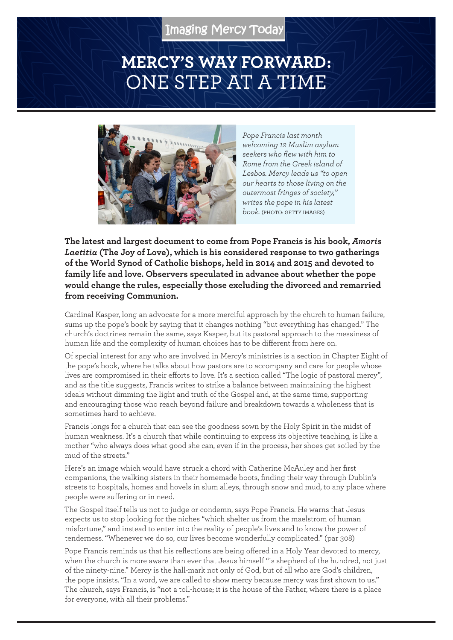## **MERCY'S WAY FORWARD:** ONE STEP AT A TIME



*Pope Francis last month welcoming 12 Muslim asylum seekers who flew with him to Rome from the Greek island of Lesbos. Mercy leads us "to open our hearts to those living on the outermost fringes of society," writes the pope in his latest book.* (PHOTO: GETTY IMAGES)

**The latest and largest document to come from Pope Francis is his book,** *Amoris Laetitia* **(The Joy of Love), which is his considered response to two gatherings of the World Synod of Catholic bishops, held in 2014 and 2015 and devoted to family life and love. Observers speculated in advance about whether the pope would change the rules, especially those excluding the divorced and remarried from receiving Communion.**

Cardinal Kasper, long an advocate for a more merciful approach by the church to human failure, sums up the pope's book by saying that it changes nothing "but everything has changed." The church's doctrines remain the same, says Kasper, but its pastoral approach to the messiness of human life and the complexity of human choices has to be different from here on.

Of special interest for any who are involved in Mercy's ministries is a section in Chapter Eight of the pope's book, where he talks about how pastors are to accompany and care for people whose lives are compromised in their efforts to love. It's a section called "The logic of pastoral mercy", and as the title suggests, Francis writes to strike a balance between maintaining the highest ideals without dimming the light and truth of the Gospel and, at the same time, supporting and encouraging those who reach beyond failure and breakdown towards a wholeness that is sometimes hard to achieve.

Francis longs for a church that can see the goodness sown by the Holy Spirit in the midst of human weakness. It's a church that while continuing to express its objective teaching, is like a mother "who always does what good she can, even if in the process, her shoes get soiled by the mud of the streets."

Here's an image which would have struck a chord with Catherine McAuley and her first companions, the walking sisters in their homemade boots, finding their way through Dublin's streets to hospitals, homes and hovels in slum alleys, through snow and mud, to any place where people were suffering or in need.

The Gospel itself tells us not to judge or condemn, says Pope Francis. He warns that Jesus expects us to stop looking for the niches "which shelter us from the maelstrom of human misfortune," and instead to enter into the reality of people's lives and to know the power of tenderness. "Whenever we do so, our lives become wonderfully complicated." (par 308)

Pope Francis reminds us that his reflections are being offered in a Holy Year devoted to mercy, when the church is more aware than ever that Jesus himself "is shepherd of the hundred, not just of the ninety-nine." Mercy is the hall-mark not only of God, but of all who are God's children, the pope insists. "In a word, we are called to show mercy because mercy was first shown to us." The church, says Francis, is "not a toll-house; it is the house of the Father, where there is a place for everyone, with all their problems."